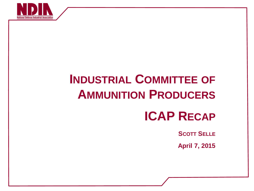

# **INDUSTRIAL COMMITTEE OF AMMUNITION PRODUCERS**

### **ICAP RECAP**

**SCOTT SELLE**

**April 7, 2015**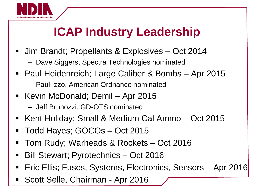

## **ICAP Industry Leadership**

- **Jim Brandt; Propellants & Explosives Oct 2014** 
	- Dave Siggers, Spectra Technologies nominated
- Paul Heidenreich; Large Caliber & Bombs Apr 2015
	- Paul Izzo, American Ordnance nominated
- Kevin McDonald; Demil Apr 2015 – Jeff Brunozzi, GD-OTS nominated
- Kent Holiday; Small & Medium Cal Ammo Oct 2015
- Todd Hayes; GOCOs Oct 2015
- Tom Rudy; Warheads & Rockets Oct 2016
- Bill Stewart; Pyrotechnics Oct 2016
- Eric Ellis; Fuses, Systems, Electronics, Sensors Apr 2016
- **Scott Selle, Chairman Apr 2016**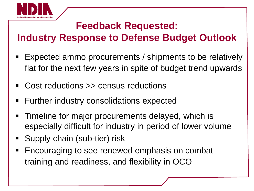

#### **Feedback Requested:**

#### **Industry Response to Defense Budget Outlook**

- Expected ammo procurements / shipments to be relatively flat for the next few years in spite of budget trend upwards
- Cost reductions >> census reductions
- Further industry consolidations expected
- Timeline for major procurements delayed, which is especially difficult for industry in period of lower volume
- **Supply chain (sub-tier) risk**
- **Encouraging to see renewed emphasis on combat** training and readiness, and flexibility in OCO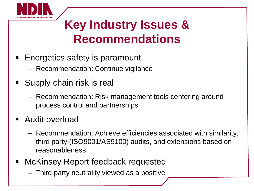

### **Key Industry Issues & Recommendations**

- **Energetics safety is paramount** 
	- Recommendation: Continue vigilance
- **Supply chain risk is real** 
	- Recommendation: Risk management tools centering around process control and partnerships
- **Audit overload** 
	- Recommendation: Achieve efficiencies associated with similarity, third party (ISO9001/AS9100) audits, and extensions based on reasonableness
- McKinsey Report feedback requested
	- Third party neutrality viewed as a positive